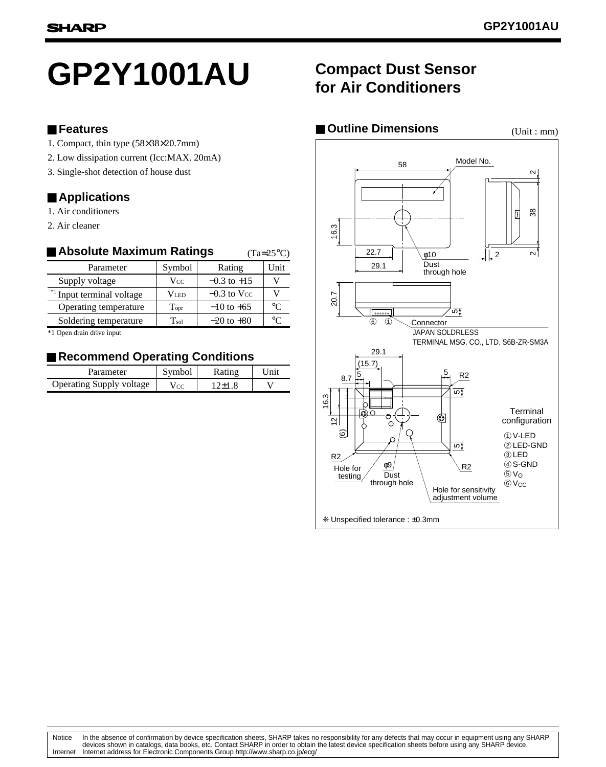# **GP2Y1001AU**

#### ■ **Features**

- 1. Compact, thin type (58×38×20.7mm)
- 2. Low dissipation current (Icc:MAX. 20mA)
- 3. Single-shot detection of house dust

#### ■ **Applications**

- 1. Air conditioners
- 2. Air cleaner

#### ■ Absolute Maximum Ratings Parameter Symbol Rating Unit  $(Ta=25^{\circ}C)$

| ഀ |
|---|
|   |
|   |

\*1 Open drain drive input

#### ■ Recommend Operating Conditions

| Parameter                | Symbol          | Rating | Unit |
|--------------------------|-----------------|--------|------|
| Operating Supply voltage | V <sub>CC</sub> | 12+1.8 |      |

## **Compact Dust Sensor for Air Conditioners**

#### ■ Outline Dimensions (Unit : mm)

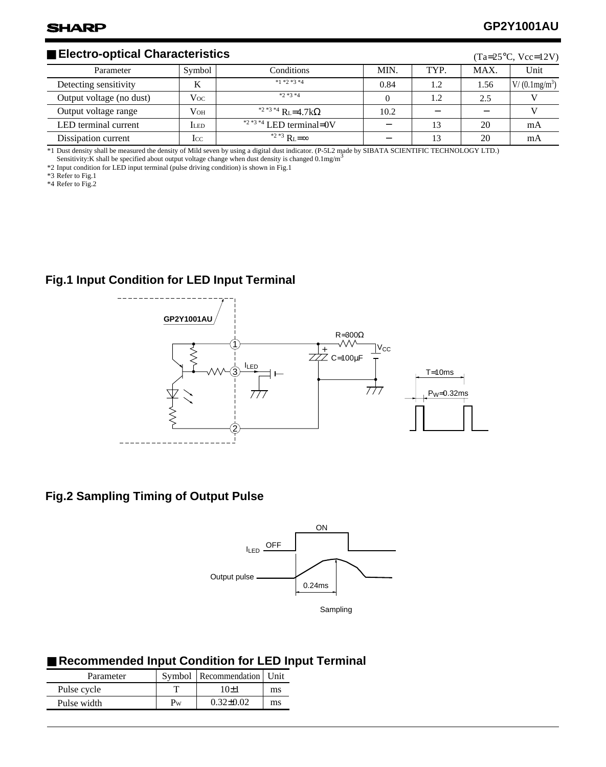#### ■ **Electro-optical Characteristics**

| $\blacksquare$ Electro-optical Characteristics<br>$(Ta=25\degree C, Vcc=12V)$ |             |                                                   |      |      |      |                 |
|-------------------------------------------------------------------------------|-------------|---------------------------------------------------|------|------|------|-----------------|
| Parameter                                                                     | Symbol      | Conditions                                        | MIN. | TYP. | MAX. | Unit            |
| Detecting sensitivity                                                         | K           | $*1 *2 *3 *4$                                     | 0.84 | 1.2  | 1.56 | $V/(0.1mg/m^3)$ |
| Output voltage (no dust)                                                      | $V_{OC}$    | $*2*3*4$                                          |      | 1.2  | 2.5  |                 |
| Output voltage range                                                          | $V_{OH}$    | <sup>*2 *3 *4</sup> R <sub>L</sub> =4.7k $\Omega$ | 10.2 |      |      |                 |
| LED terminal current                                                          | <b>ILED</b> | $*2*3*4$ LED terminal=0V                          |      |      | 20   | mA              |
| Dissipation current                                                           | lcc         | <sup>*2 *3</sup> $R_1 = \infty$                   |      |      | 20   | mA              |

\*1 Dust density shall be measured the density of Mild seven by using a digital dust indicator. (P-5L2 made by SIBATA SCIENTIFIC TECHNOLOGY LTD.)

Sensitivity:K shall be specified about output voltage change when dust density is changed 0.1mg/m<sup>3</sup>  $*2$  Input condition for LED input terminal (pulse driving condition) is shown in Fig.1

\*3 Refer to Fig.1

\*4 Refer to Fig.2

#### **Fig.1 Input Condition for LED Input Terminal**



#### **Fig.2 Sampling Timing of Output Pulse**



#### ■ Recommended Input Condition for LED Input Terminal

| Parameter   |    | Symbol   Recommendation   Unit |    |
|-------------|----|--------------------------------|----|
| Pulse cycle |    | 10+1                           | ms |
| Pulse width | Pw | $0.32+0.02$                    | ms |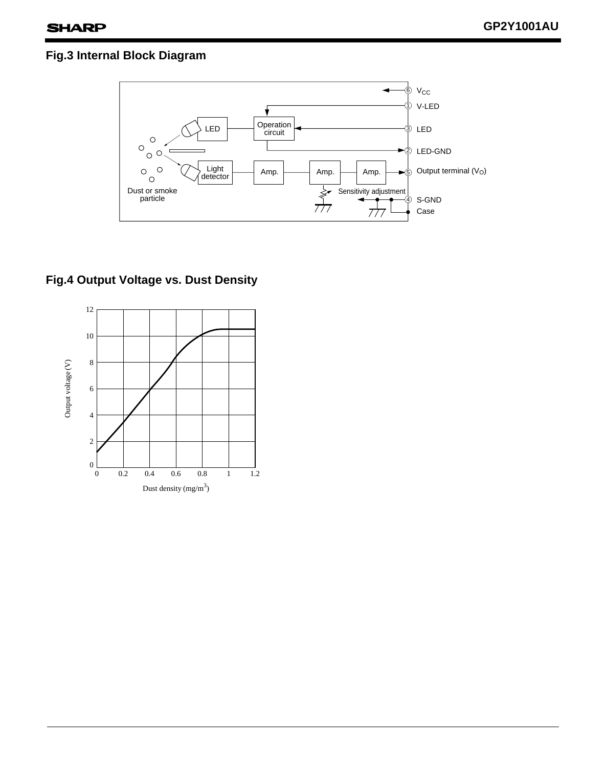### **Fig.3 Internal Block Diagram**



#### **Fig.4 Output Voltage vs. Dust Density**